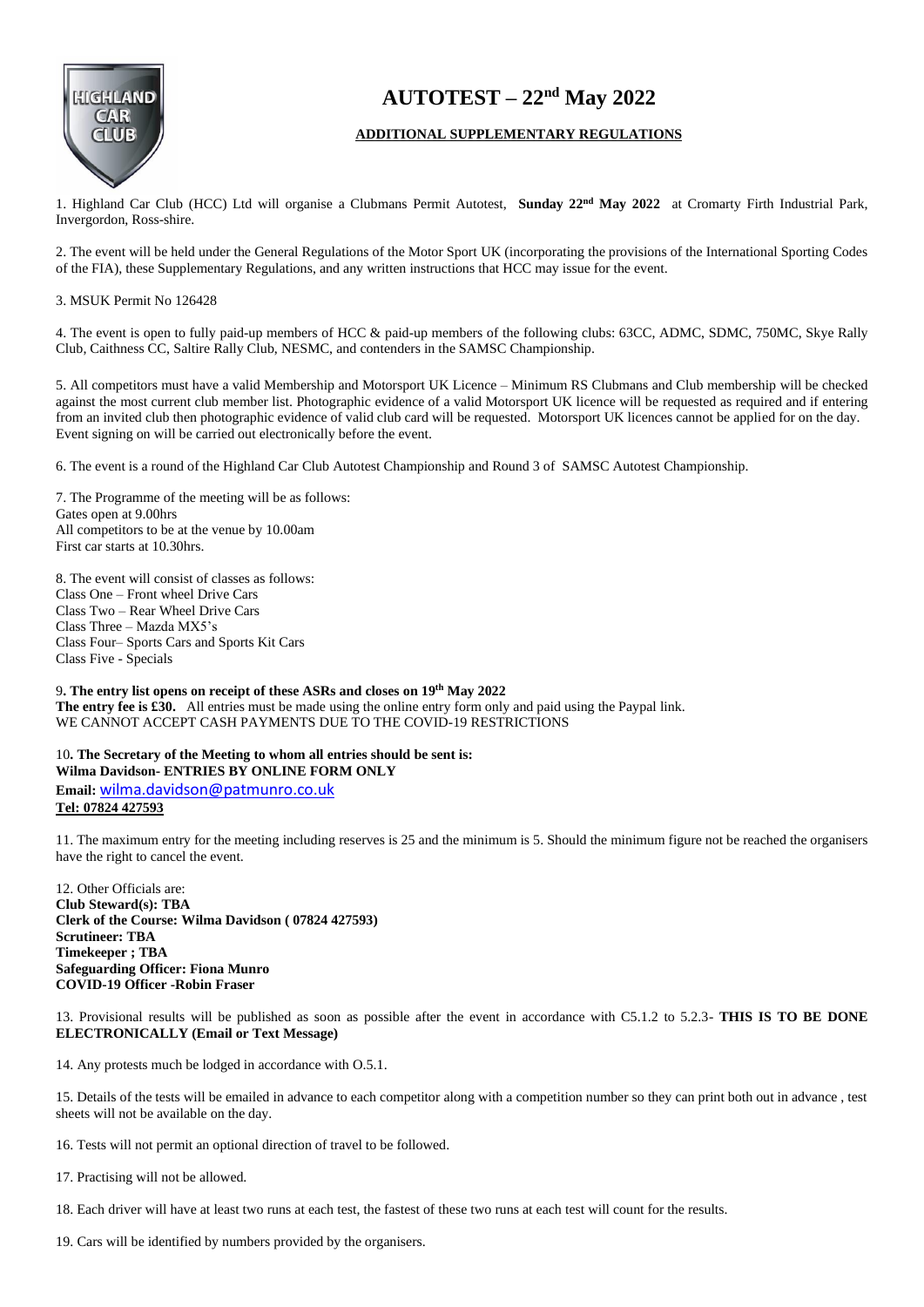

## **AUTOTEST – 22nd May 2022**

## **ADDITIONAL SUPPLEMENTARY REGULATIONS**

1. Highland Car Club (HCC) Ltd will organise a Clubmans Permit Autotest, **Sunday 22nd May 2022** at Cromarty Firth Industrial Park, Invergordon, Ross-shire.

2. The event will be held under the General Regulations of the Motor Sport UK (incorporating the provisions of the International Sporting Codes of the FIA), these Supplementary Regulations, and any written instructions that HCC may issue for the event.

## 3. MSUK Permit No 126428

4. The event is open to fully paid-up members of HCC & paid-up members of the following clubs: 63CC, ADMC, SDMC, 750MC, Skye Rally Club, Caithness CC, Saltire Rally Club, NESMC, and contenders in the SAMSC Championship.

5. All competitors must have a valid Membership and Motorsport UK Licence – Minimum RS Clubmans and Club membership will be checked against the most current club member list. Photographic evidence of a valid Motorsport UK licence will be requested as required and if entering from an invited club then photographic evidence of valid club card will be requested. Motorsport UK licences cannot be applied for on the day. Event signing on will be carried out electronically before the event.

6. The event is a round of the Highland Car Club Autotest Championship and Round 3 of SAMSC Autotest Championship.

7. The Programme of the meeting will be as follows: Gates open at 9.00hrs All competitors to be at the venue by 10.00am First car starts at 10.30hrs.

8. The event will consist of classes as follows: Class One – Front wheel Drive Cars Class Two – Rear Wheel Drive Cars Class Three – Mazda MX5's Class Four– Sports Cars and Sports Kit Cars Class Five - Specials

9**. The entry list opens on receipt of these ASRs and closes on 19th May 2022 The entry fee is £30.** All entries must be made using the online entry form only and paid using the Paypal link. WE CANNOT ACCEPT CASH PAYMENTS DUE TO THE COVID-19 RESTRICTIONS

10**. The Secretary of the Meeting to whom all entries should be sent is: Wilma Davidson- ENTRIES BY ONLINE FORM ONLY Email:** [wilma.davidson@patmunro.co.uk](mailto:wilma.davidson@patmunro.co.uk)  **Tel: 07824 427593**

11. The maximum entry for the meeting including reserves is 25 and the minimum is 5. Should the minimum figure not be reached the organisers have the right to cancel the event.

12. Other Officials are: **Club Steward(s): TBA Clerk of the Course: Wilma Davidson ( 07824 427593) Scrutineer: TBA Timekeeper ; TBA Safeguarding Officer: Fiona Munro COVID-19 Officer -Robin Fraser**

13. Provisional results will be published as soon as possible after the event in accordance with C5.1.2 to 5.2.3- **THIS IS TO BE DONE ELECTRONICALLY (Email or Text Message)**

14. Any protests much be lodged in accordance with O.5.1.

15. Details of the tests will be emailed in advance to each competitor along with a competition number so they can print both out in advance , test sheets will not be available on the day.

16. Tests will not permit an optional direction of travel to be followed.

17. Practising will not be allowed.

18. Each driver will have at least two runs at each test, the fastest of these two runs at each test will count for the results.

19. Cars will be identified by numbers provided by the organisers.